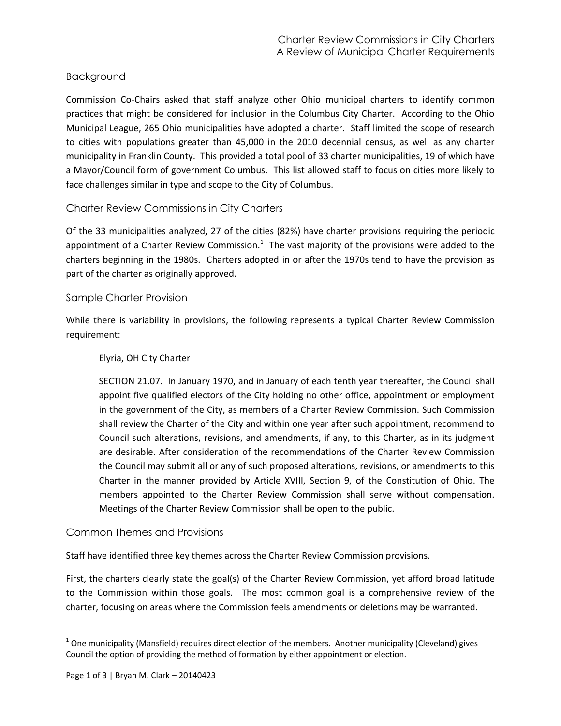# Background

Commission Co-Chairs asked that staff analyze other Ohio municipal charters to identify common practices that might be considered for inclusion in the Columbus City Charter. According to the Ohio Municipal League, 265 Ohio municipalities have adopted a charter. Staff limited the scope of research to cities with populations greater than 45,000 in the 2010 decennial census, as well as any charter municipality in Franklin County. This provided a total pool of 33 charter municipalities, 19 of which have a Mayor/Council form of government Columbus. This list allowed staff to focus on cities more likely to face challenges similar in type and scope to the City of Columbus.

## Charter Review Commissions in City Charters

Of the 33 municipalities analyzed, 27 of the cities (82%) have charter provisions requiring the periodic appointment of a Charter Review Commission.<sup>1</sup> The vast majority of the provisions were added to the charters beginning in the 1980s. Charters adopted in or after the 1970s tend to have the provision as part of the charter as originally approved.

### Sample Charter Provision

While there is variability in provisions, the following represents a typical Charter Review Commission requirement:

#### Elyria, OH City Charter

SECTION 21.07. In January 1970, and in January of each tenth year thereafter, the Council shall appoint five qualified electors of the City holding no other office, appointment or employment in the government of the City, as members of a Charter Review Commission. Such Commission shall review the Charter of the City and within one year after such appointment, recommend to Council such alterations, revisions, and amendments, if any, to this Charter, as in its judgment are desirable. After consideration of the recommendations of the Charter Review Commission the Council may submit all or any of such proposed alterations, revisions, or amendments to this Charter in the manner provided by Article XVIII, Section 9, of the Constitution of Ohio. The members appointed to the Charter Review Commission shall serve without compensation. Meetings of the Charter Review Commission shall be open to the public.

## Common Themes and Provisions

Staff have identified three key themes across the Charter Review Commission provisions.

First, the charters clearly state the goal(s) of the Charter Review Commission, yet afford broad latitude to the Commission within those goals. The most common goal is a comprehensive review of the charter, focusing on areas where the Commission feels amendments or deletions may be warranted.

l

 $^1$  One municipality (Mansfield) requires direct election of the members. Another municipality (Cleveland) gives Council the option of providing the method of formation by either appointment or election.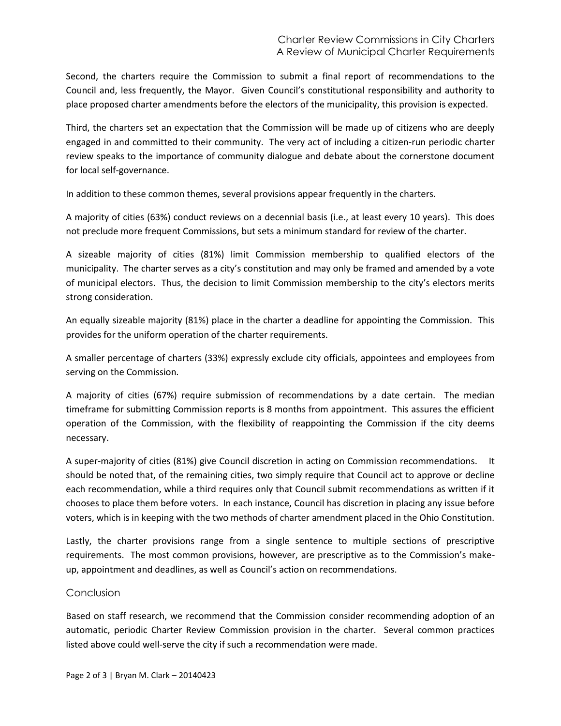Second, the charters require the Commission to submit a final report of recommendations to the Council and, less frequently, the Mayor. Given Council's constitutional responsibility and authority to place proposed charter amendments before the electors of the municipality, this provision is expected.

Third, the charters set an expectation that the Commission will be made up of citizens who are deeply engaged in and committed to their community. The very act of including a citizen-run periodic charter review speaks to the importance of community dialogue and debate about the cornerstone document for local self-governance.

In addition to these common themes, several provisions appear frequently in the charters.

A majority of cities (63%) conduct reviews on a decennial basis (i.e., at least every 10 years). This does not preclude more frequent Commissions, but sets a minimum standard for review of the charter.

A sizeable majority of cities (81%) limit Commission membership to qualified electors of the municipality. The charter serves as a city's constitution and may only be framed and amended by a vote of municipal electors. Thus, the decision to limit Commission membership to the city's electors merits strong consideration.

An equally sizeable majority (81%) place in the charter a deadline for appointing the Commission. This provides for the uniform operation of the charter requirements.

A smaller percentage of charters (33%) expressly exclude city officials, appointees and employees from serving on the Commission.

A majority of cities (67%) require submission of recommendations by a date certain. The median timeframe for submitting Commission reports is 8 months from appointment. This assures the efficient operation of the Commission, with the flexibility of reappointing the Commission if the city deems necessary.

A super-majority of cities (81%) give Council discretion in acting on Commission recommendations. It should be noted that, of the remaining cities, two simply require that Council act to approve or decline each recommendation, while a third requires only that Council submit recommendations as written if it chooses to place them before voters. In each instance, Council has discretion in placing any issue before voters, which is in keeping with the two methods of charter amendment placed in the Ohio Constitution.

Lastly, the charter provisions range from a single sentence to multiple sections of prescriptive requirements. The most common provisions, however, are prescriptive as to the Commission's makeup, appointment and deadlines, as well as Council's action on recommendations.

#### **Conclusion**

Based on staff research, we recommend that the Commission consider recommending adoption of an automatic, periodic Charter Review Commission provision in the charter. Several common practices listed above could well-serve the city if such a recommendation were made.